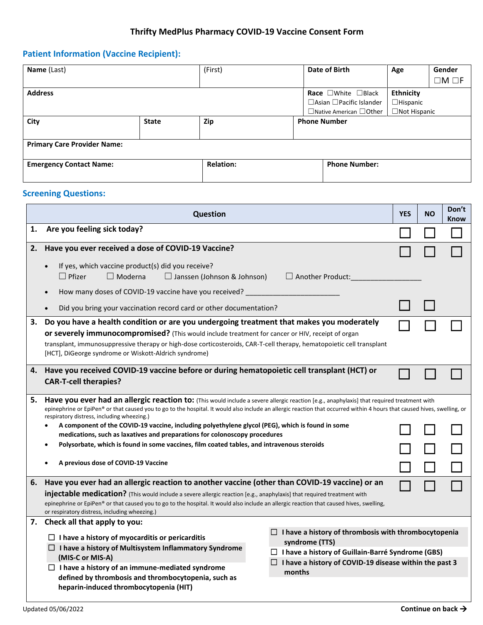## **Thrifty MedPlus Pharmacy COVID-19 Vaccine Consent Form**

# **Patient Information (Vaccine Recipient):**

| Name (Last)                        |              | (First)          |                     | Date of Birth                        | Age              | Gender          |
|------------------------------------|--------------|------------------|---------------------|--------------------------------------|------------------|-----------------|
|                                    |              |                  |                     |                                      |                  | $\Box M \Box F$ |
| <b>Address</b>                     |              |                  |                     | Race $\square$ White $\square$ Black | <b>Ethnicity</b> |                 |
|                                    |              |                  |                     | $\Box$ Asian $\Box$ Pacific Islander | $\Box$ Hispanic  |                 |
|                                    |              |                  |                     | $\Box$ Native American $\Box$ Other  | □Not Hispanic    |                 |
| City                               | <b>State</b> | <b>Zip</b>       | <b>Phone Number</b> |                                      |                  |                 |
|                                    |              |                  |                     |                                      |                  |                 |
| <b>Primary Care Provider Name:</b> |              |                  |                     |                                      |                  |                 |
|                                    |              |                  |                     |                                      |                  |                 |
| <b>Emergency Contact Name:</b>     |              | <b>Relation:</b> |                     | <b>Phone Number:</b>                 |                  |                 |
|                                    |              |                  |                     |                                      |                  |                 |

# **Screening Questions:**

| <b>Question</b> |                                                                                                                                                                                                                                                                                                                                                                                                                      |  |  | Don't<br><b>Know</b> |  |  |  |
|-----------------|----------------------------------------------------------------------------------------------------------------------------------------------------------------------------------------------------------------------------------------------------------------------------------------------------------------------------------------------------------------------------------------------------------------------|--|--|----------------------|--|--|--|
| 1.              | Are you feeling sick today?                                                                                                                                                                                                                                                                                                                                                                                          |  |  |                      |  |  |  |
| 2.              | Have you ever received a dose of COVID-19 Vaccine?                                                                                                                                                                                                                                                                                                                                                                   |  |  |                      |  |  |  |
|                 | If yes, which vaccine product(s) did you receive?<br>$\bullet$<br>$\Box$ Pfizer<br>$\Box$ Moderna<br>$\Box$ Janssen (Johnson & Johnson)<br>$\Box$ Another Product:                                                                                                                                                                                                                                                   |  |  |                      |  |  |  |
|                 | How many doses of COVID-19 vaccine have you received?<br>$\bullet$<br>Did you bring your vaccination record card or other documentation?                                                                                                                                                                                                                                                                             |  |  |                      |  |  |  |
| З.              | Do you have a health condition or are you undergoing treatment that makes you moderately<br>or severely immunocompromised? (This would include treatment for cancer or HIV, receipt of organ<br>transplant, immunosuppressive therapy or high-dose corticosteroids, CAR-T-cell therapy, hematopoietic cell transplant<br>[HCT], DiGeorge syndrome or Wiskott-Aldrich syndrome)                                       |  |  |                      |  |  |  |
|                 | 4. Have you received COVID-19 vaccine before or during hematopoietic cell transplant (HCT) or<br><b>CAR-T-cell therapies?</b>                                                                                                                                                                                                                                                                                        |  |  |                      |  |  |  |
| 5.              | Have you ever had an allergic reaction to: (This would include a severe allergic reaction [e.g., anaphylaxis] that required treatment with<br>epinephrine or EpiPen® or that caused you to go to the hospital. It would also include an allergic reaction that occurred within 4 hours that caused hives, swelling, or                                                                                               |  |  |                      |  |  |  |
|                 | respiratory distress, including wheezing.)<br>A component of the COVID-19 vaccine, including polyethylene glycol (PEG), which is found in some<br>$\bullet$<br>medications, such as laxatives and preparations for colonoscopy procedures                                                                                                                                                                            |  |  |                      |  |  |  |
|                 | Polysorbate, which is found in some vaccines, film coated tables, and intravenous steroids<br>$\bullet$                                                                                                                                                                                                                                                                                                              |  |  |                      |  |  |  |
|                 | A previous dose of COVID-19 Vaccine                                                                                                                                                                                                                                                                                                                                                                                  |  |  |                      |  |  |  |
| 6.              | Have you ever had an allergic reaction to another vaccine (other than COVID-19 vaccine) or an<br>injectable medication? (This would include a severe allergic reaction [e.g., anaphylaxis] that required treatment with<br>epinephrine or EpiPen® or that caused you to go to the hospital. It would also include an allergic reaction that caused hives, swelling,<br>or respiratory distress, including wheezing.) |  |  |                      |  |  |  |
|                 | 7. Check all that apply to you:                                                                                                                                                                                                                                                                                                                                                                                      |  |  |                      |  |  |  |
|                 | $\Box$ I have a history of thrombosis with thrombocytopenia<br>$\Box$ I have a history of myocarditis or pericarditis<br>syndrome (TTS)<br>$\Box$ I have a history of Multisystem Inflammatory Syndrome                                                                                                                                                                                                              |  |  |                      |  |  |  |
|                 | $\Box$ I have a history of Guillain-Barré Syndrome (GBS)<br>(MIS-C or MIS-A)<br>$\Box$ I have a history of COVID-19 disease within the past 3                                                                                                                                                                                                                                                                        |  |  |                      |  |  |  |
|                 | $\Box$ I have a history of an immune-mediated syndrome<br>months<br>defined by thrombosis and thrombocytopenia, such as<br>heparin-induced thrombocytopenia (HIT)                                                                                                                                                                                                                                                    |  |  |                      |  |  |  |